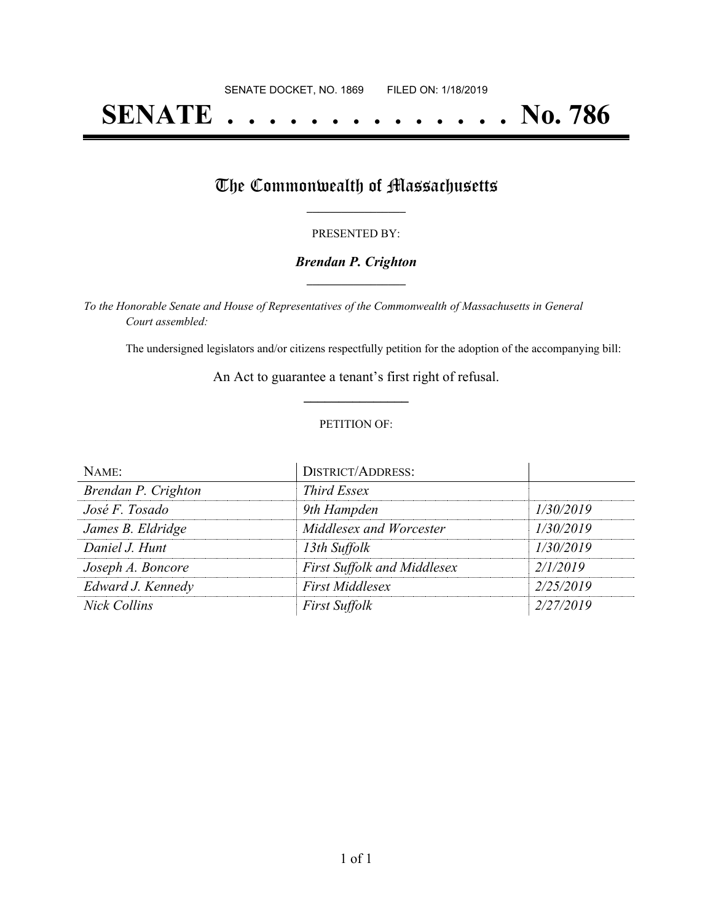# **SENATE . . . . . . . . . . . . . . No. 786**

# The Commonwealth of Massachusetts

#### PRESENTED BY:

### *Brendan P. Crighton* **\_\_\_\_\_\_\_\_\_\_\_\_\_\_\_\_\_**

*To the Honorable Senate and House of Representatives of the Commonwealth of Massachusetts in General Court assembled:*

The undersigned legislators and/or citizens respectfully petition for the adoption of the accompanying bill:

An Act to guarantee a tenant's first right of refusal. **\_\_\_\_\_\_\_\_\_\_\_\_\_\_\_**

#### PETITION OF:

| NAME:               | <b>DISTRICT/ADDRESS:</b>           |           |
|---------------------|------------------------------------|-----------|
| Brendan P. Crighton | <b>Third Essex</b>                 |           |
| José F. Tosado      | 9th Hampden                        | 1/30/2019 |
| James B. Eldridge   | Middlesex and Worcester            | 1/30/2019 |
| Daniel J. Hunt      | 13th Suffolk                       | 1/30/2019 |
| Joseph A. Boncore   | <b>First Suffolk and Middlesex</b> | 2/1/2019  |
| Edward J. Kennedy   | <b>First Middlesex</b>             | 2/25/2019 |
| <b>Nick Collins</b> | <b>First Suffolk</b>               | 2/27/2019 |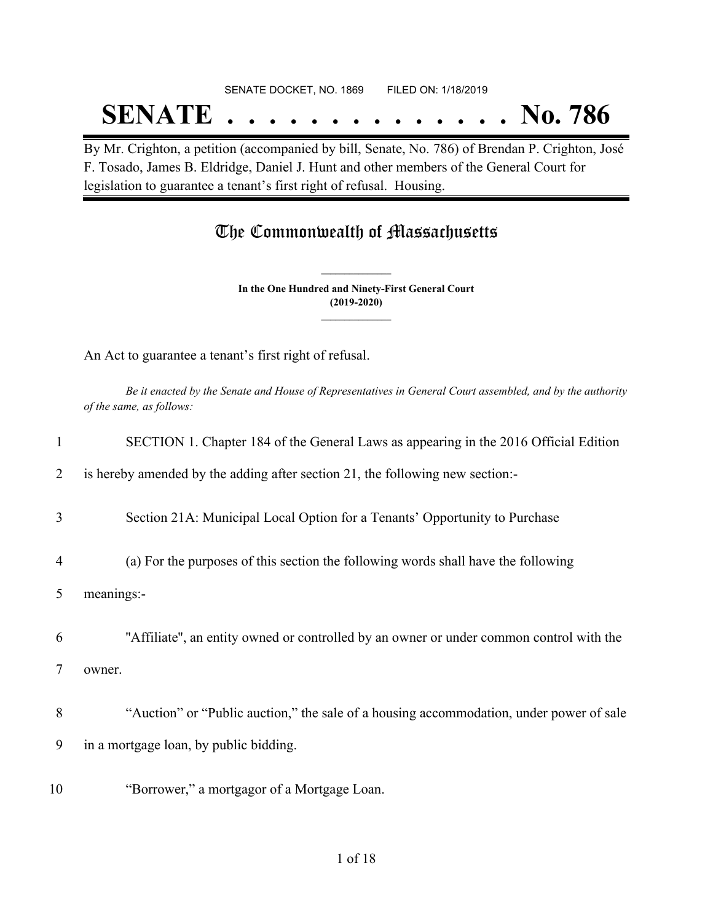## SENATE DOCKET, NO. 1869 FILED ON: 1/18/2019 **SENATE . . . . . . . . . . . . . . No. 786**

By Mr. Crighton, a petition (accompanied by bill, Senate, No. 786) of Brendan P. Crighton, José F. Tosado, James B. Eldridge, Daniel J. Hunt and other members of the General Court for legislation to guarantee a tenant's first right of refusal. Housing.

## The Commonwealth of Massachusetts

**In the One Hundred and Ninety-First General Court (2019-2020) \_\_\_\_\_\_\_\_\_\_\_\_\_\_\_**

**\_\_\_\_\_\_\_\_\_\_\_\_\_\_\_**

An Act to guarantee a tenant's first right of refusal.

Be it enacted by the Senate and House of Representatives in General Court assembled, and by the authority *of the same, as follows:*

| 1              | SECTION 1. Chapter 184 of the General Laws as appearing in the 2016 Official Edition    |
|----------------|-----------------------------------------------------------------------------------------|
| 2              | is hereby amended by the adding after section 21, the following new section:-           |
| 3              | Section 21A: Municipal Local Option for a Tenants' Opportunity to Purchase              |
| $\overline{4}$ | (a) For the purposes of this section the following words shall have the following       |
| 5              | meanings:-                                                                              |
| 6              | "Affiliate", an entity owned or controlled by an owner or under common control with the |
| 7              | owner.                                                                                  |
| 8              | "Auction" or "Public auction," the sale of a housing accommodation, under power of sale |
| 9              | in a mortgage loan, by public bidding.                                                  |
| 10             | "Borrower," a mortgagor of a Mortgage Loan.                                             |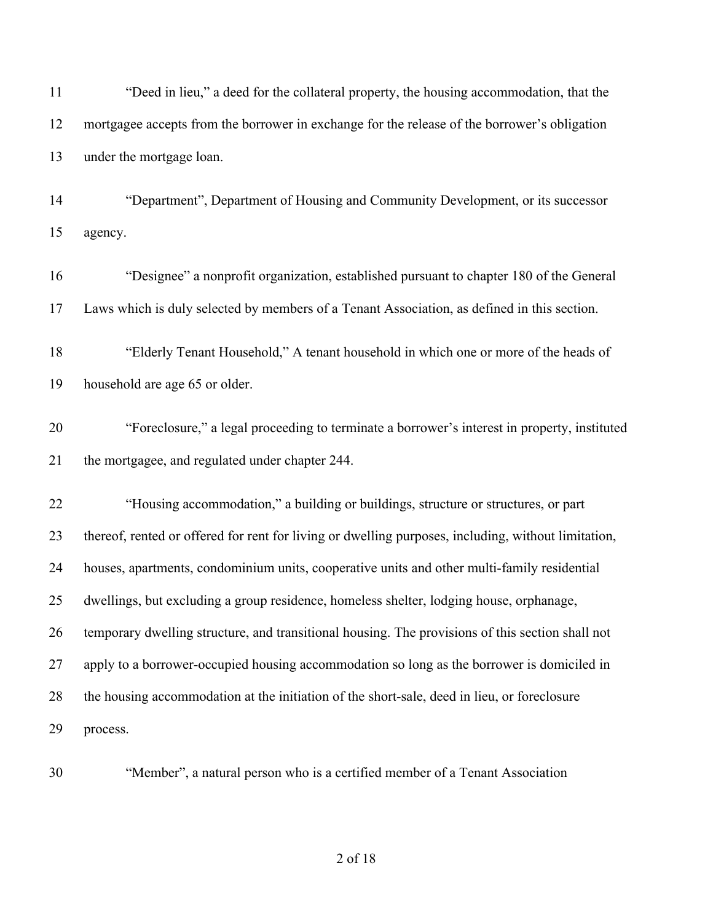| 11 | "Deed in lieu," a deed for the collateral property, the housing accommodation, that the             |
|----|-----------------------------------------------------------------------------------------------------|
| 12 | mortgagee accepts from the borrower in exchange for the release of the borrower's obligation        |
| 13 | under the mortgage loan.                                                                            |
| 14 | "Department", Department of Housing and Community Development, or its successor                     |
| 15 | agency.                                                                                             |
| 16 | "Designee" a nonprofit organization, established pursuant to chapter 180 of the General             |
| 17 | Laws which is duly selected by members of a Tenant Association, as defined in this section.         |
| 18 | "Elderly Tenant Household," A tenant household in which one or more of the heads of                 |
| 19 | household are age 65 or older.                                                                      |
| 20 | "Foreclosure," a legal proceeding to terminate a borrower's interest in property, instituted        |
| 21 | the mortgagee, and regulated under chapter 244.                                                     |
| 22 | "Housing accommodation," a building or buildings, structure or structures, or part                  |
| 23 | thereof, rented or offered for rent for living or dwelling purposes, including, without limitation, |
| 24 | houses, apartments, condominium units, cooperative units and other multi-family residential         |
| 25 | dwellings, but excluding a group residence, homeless shelter, lodging house, orphanage,             |
| 26 | temporary dwelling structure, and transitional housing. The provisions of this section shall not    |
| 27 | apply to a borrower-occupied housing accommodation so long as the borrower is domiciled in          |
| 28 | the housing accommodation at the initiation of the short-sale, deed in lieu, or foreclosure         |
| 29 | process.                                                                                            |
| 30 | "Member", a natural person who is a certified member of a Tenant Association                        |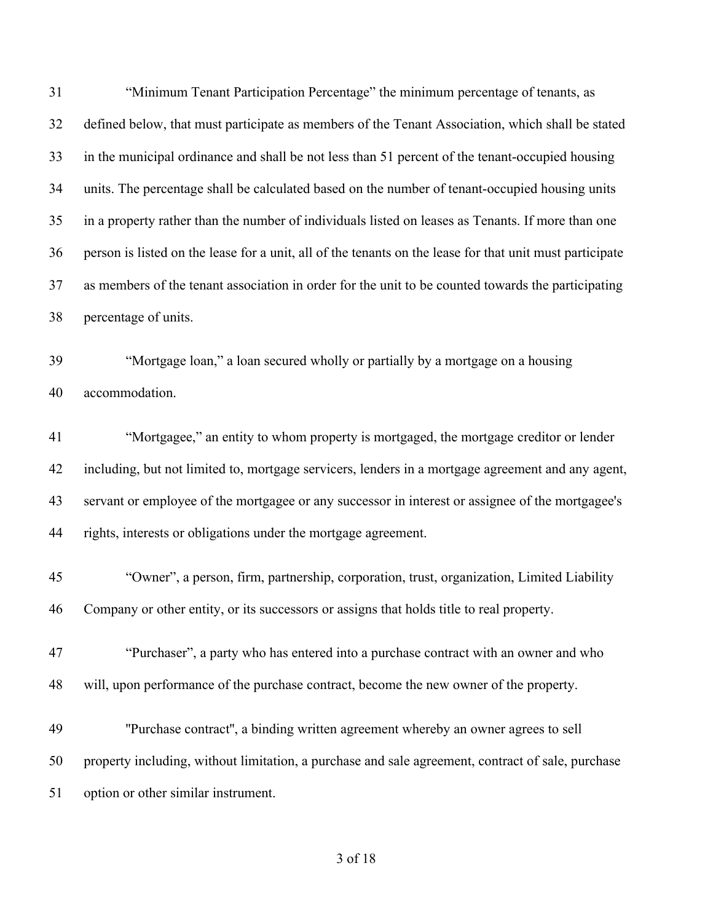"Minimum Tenant Participation Percentage" the minimum percentage of tenants, as defined below, that must participate as members of the Tenant Association, which shall be stated in the municipal ordinance and shall be not less than 51 percent of the tenant-occupied housing units. The percentage shall be calculated based on the number of tenant-occupied housing units in a property rather than the number of individuals listed on leases as Tenants. If more than one person is listed on the lease for a unit, all of the tenants on the lease for that unit must participate as members of the tenant association in order for the unit to be counted towards the participating percentage of units. "Mortgage loan," a loan secured wholly or partially by a mortgage on a housing accommodation. "Mortgagee," an entity to whom property is mortgaged, the mortgage creditor or lender including, but not limited to, mortgage servicers, lenders in a mortgage agreement and any agent, servant or employee of the mortgagee or any successor in interest or assignee of the mortgagee's rights, interests or obligations under the mortgage agreement. "Owner", a person, firm, partnership, corporation, trust, organization, Limited Liability Company or other entity, or its successors or assigns that holds title to real property. "Purchaser", a party who has entered into a purchase contract with an owner and who will, upon performance of the purchase contract, become the new owner of the property. ''Purchase contract'', a binding written agreement whereby an owner agrees to sell property including, without limitation, a purchase and sale agreement, contract of sale, purchase option or other similar instrument.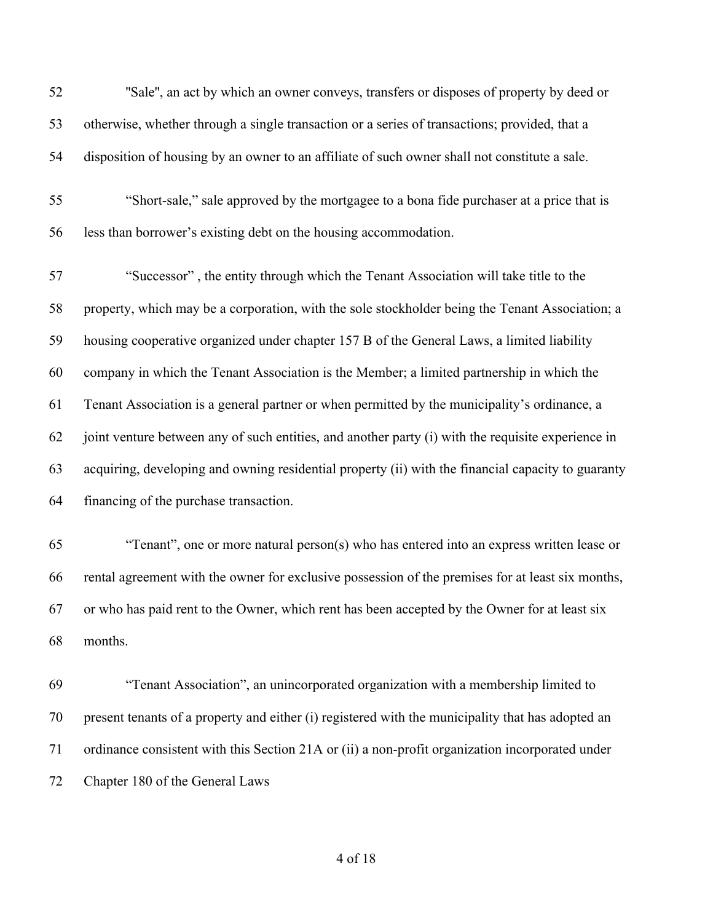''Sale'', an act by which an owner conveys, transfers or disposes of property by deed or otherwise, whether through a single transaction or a series of transactions; provided, that a disposition of housing by an owner to an affiliate of such owner shall not constitute a sale.

 "Short-sale," sale approved by the mortgagee to a bona fide purchaser at a price that is less than borrower's existing debt on the housing accommodation.

 "Successor" , the entity through which the Tenant Association will take title to the property, which may be a corporation, with the sole stockholder being the Tenant Association; a housing cooperative organized under chapter 157 B of the General Laws, a limited liability company in which the Tenant Association is the Member; a limited partnership in which the Tenant Association is a general partner or when permitted by the municipality's ordinance, a joint venture between any of such entities, and another party (i) with the requisite experience in acquiring, developing and owning residential property (ii) with the financial capacity to guaranty financing of the purchase transaction.

 "Tenant", one or more natural person(s) who has entered into an express written lease or rental agreement with the owner for exclusive possession of the premises for at least six months, or who has paid rent to the Owner, which rent has been accepted by the Owner for at least six months.

 "Tenant Association", an unincorporated organization with a membership limited to present tenants of a property and either (i) registered with the municipality that has adopted an ordinance consistent with this Section 21A or (ii) a non-profit organization incorporated under Chapter 180 of the General Laws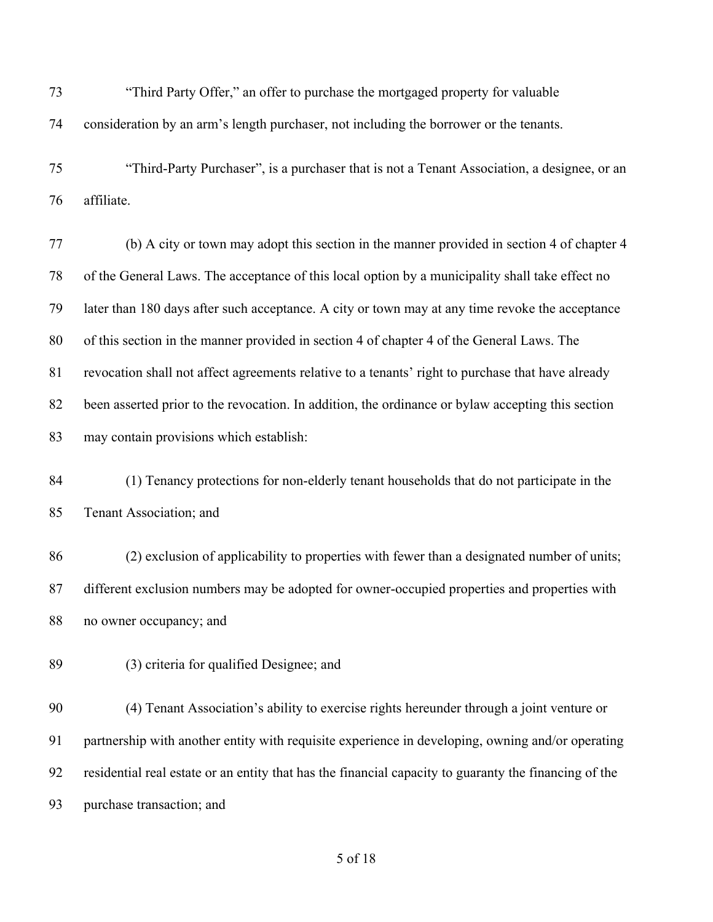"Third Party Offer," an offer to purchase the mortgaged property for valuable consideration by an arm's length purchaser, not including the borrower or the tenants.

 "Third-Party Purchaser", is a purchaser that is not a Tenant Association, a designee, or an affiliate.

 (b) A city or town may adopt this section in the manner provided in section 4 of chapter 4 of the General Laws. The acceptance of this local option by a municipality shall take effect no later than 180 days after such acceptance. A city or town may at any time revoke the acceptance of this section in the manner provided in section 4 of chapter 4 of the General Laws. The revocation shall not affect agreements relative to a tenants' right to purchase that have already been asserted prior to the revocation. In addition, the ordinance or bylaw accepting this section may contain provisions which establish:

 (1) Tenancy protections for non-elderly tenant households that do not participate in the Tenant Association; and

 (2) exclusion of applicability to properties with fewer than a designated number of units; different exclusion numbers may be adopted for owner-occupied properties and properties with no owner occupancy; and

(3) criteria for qualified Designee; and

 (4) Tenant Association's ability to exercise rights hereunder through a joint venture or partnership with another entity with requisite experience in developing, owning and/or operating residential real estate or an entity that has the financial capacity to guaranty the financing of the purchase transaction; and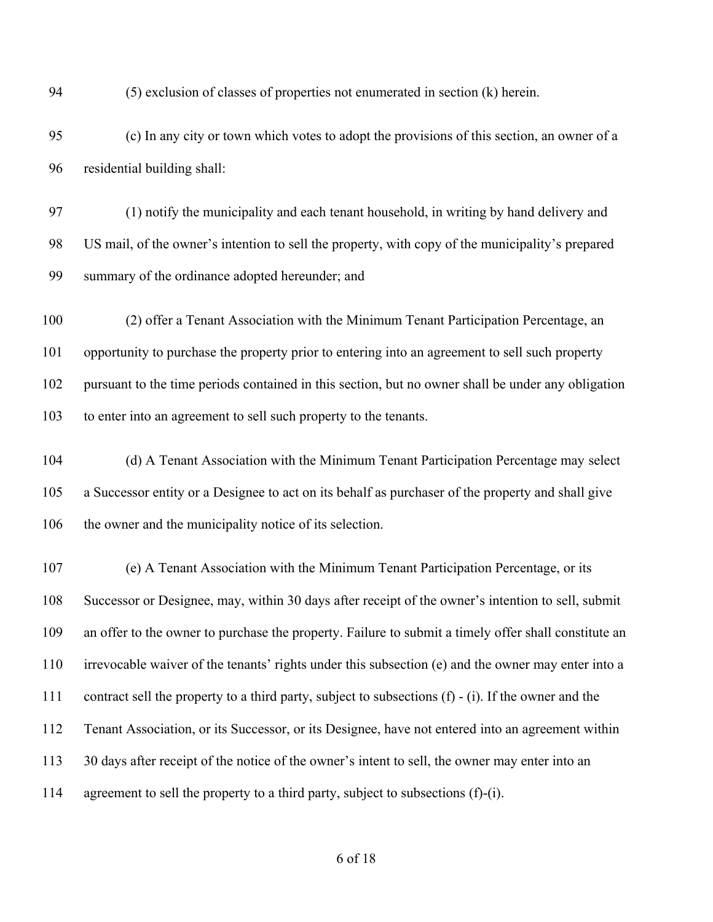(5) exclusion of classes of properties not enumerated in section (k) herein.

 (c) In any city or town which votes to adopt the provisions of this section, an owner of a residential building shall:

 (1) notify the municipality and each tenant household, in writing by hand delivery and US mail, of the owner's intention to sell the property, with copy of the municipality's prepared summary of the ordinance adopted hereunder; and

 (2) offer a Tenant Association with the Minimum Tenant Participation Percentage, an opportunity to purchase the property prior to entering into an agreement to sell such property pursuant to the time periods contained in this section, but no owner shall be under any obligation to enter into an agreement to sell such property to the tenants.

 (d) A Tenant Association with the Minimum Tenant Participation Percentage may select a Successor entity or a Designee to act on its behalf as purchaser of the property and shall give 106 the owner and the municipality notice of its selection.

 (e) A Tenant Association with the Minimum Tenant Participation Percentage, or its Successor or Designee, may, within 30 days after receipt of the owner's intention to sell, submit an offer to the owner to purchase the property. Failure to submit a timely offer shall constitute an irrevocable waiver of the tenants' rights under this subsection (e) and the owner may enter into a contract sell the property to a third party, subject to subsections (f) - (i). If the owner and the Tenant Association, or its Successor, or its Designee, have not entered into an agreement within 113 30 days after receipt of the notice of the owner's intent to sell, the owner may enter into an agreement to sell the property to a third party, subject to subsections (f)-(i).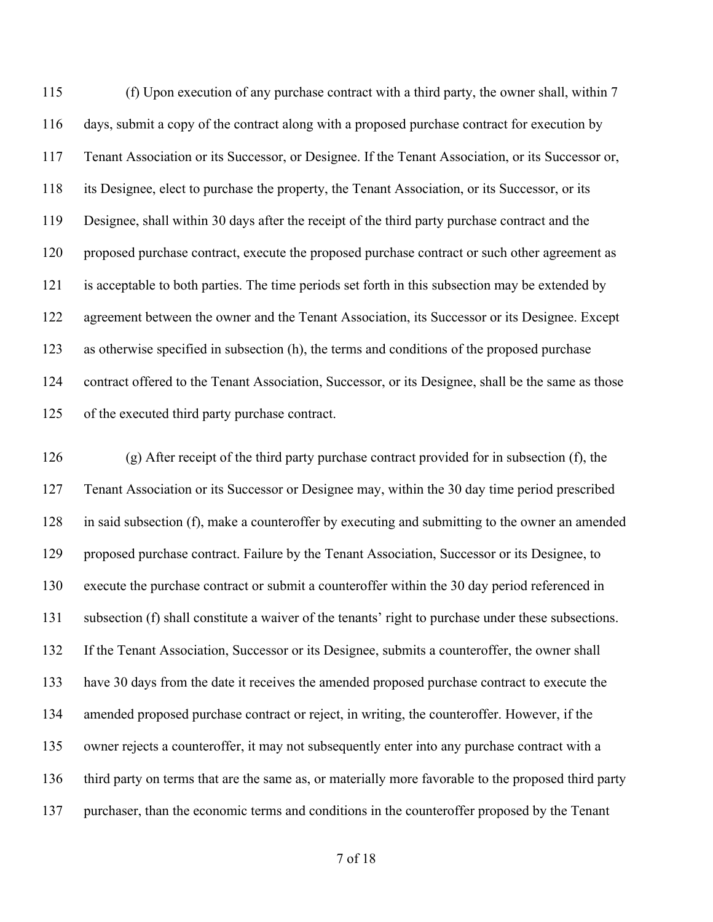(f) Upon execution of any purchase contract with a third party, the owner shall, within 7 days, submit a copy of the contract along with a proposed purchase contract for execution by Tenant Association or its Successor, or Designee. If the Tenant Association, or its Successor or, its Designee, elect to purchase the property, the Tenant Association, or its Successor, or its Designee, shall within 30 days after the receipt of the third party purchase contract and the proposed purchase contract, execute the proposed purchase contract or such other agreement as is acceptable to both parties. The time periods set forth in this subsection may be extended by agreement between the owner and the Tenant Association, its Successor or its Designee. Except as otherwise specified in subsection (h), the terms and conditions of the proposed purchase contract offered to the Tenant Association, Successor, or its Designee, shall be the same as those of the executed third party purchase contract.

 (g) After receipt of the third party purchase contract provided for in subsection (f), the Tenant Association or its Successor or Designee may, within the 30 day time period prescribed in said subsection (f), make a counteroffer by executing and submitting to the owner an amended proposed purchase contract. Failure by the Tenant Association, Successor or its Designee, to execute the purchase contract or submit a counteroffer within the 30 day period referenced in subsection (f) shall constitute a waiver of the tenants' right to purchase under these subsections. If the Tenant Association, Successor or its Designee, submits a counteroffer, the owner shall have 30 days from the date it receives the amended proposed purchase contract to execute the amended proposed purchase contract or reject, in writing, the counteroffer. However, if the owner rejects a counteroffer, it may not subsequently enter into any purchase contract with a third party on terms that are the same as, or materially more favorable to the proposed third party purchaser, than the economic terms and conditions in the counteroffer proposed by the Tenant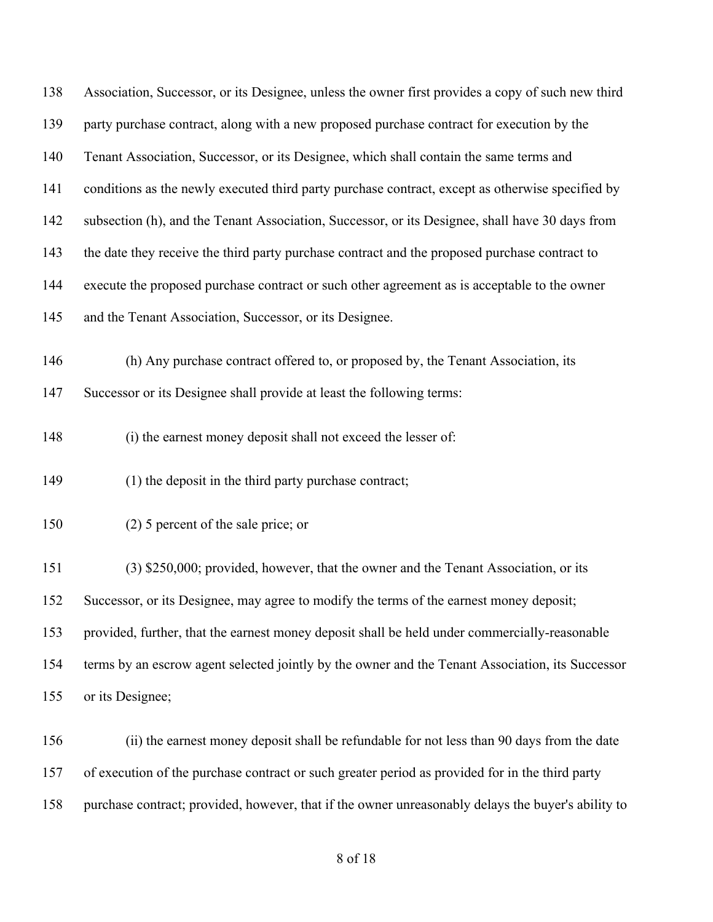| 138 | Association, Successor, or its Designee, unless the owner first provides a copy of such new third  |
|-----|----------------------------------------------------------------------------------------------------|
| 139 | party purchase contract, along with a new proposed purchase contract for execution by the          |
| 140 | Tenant Association, Successor, or its Designee, which shall contain the same terms and             |
| 141 | conditions as the newly executed third party purchase contract, except as otherwise specified by   |
| 142 | subsection (h), and the Tenant Association, Successor, or its Designee, shall have 30 days from    |
| 143 | the date they receive the third party purchase contract and the proposed purchase contract to      |
| 144 | execute the proposed purchase contract or such other agreement as is acceptable to the owner       |
| 145 | and the Tenant Association, Successor, or its Designee.                                            |
| 146 | (h) Any purchase contract offered to, or proposed by, the Tenant Association, its                  |
| 147 | Successor or its Designee shall provide at least the following terms:                              |
| 148 | (i) the earnest money deposit shall not exceed the lesser of:                                      |
| 149 | (1) the deposit in the third party purchase contract;                                              |
| 150 | $(2)$ 5 percent of the sale price; or                                                              |
| 151 | (3) \$250,000; provided, however, that the owner and the Tenant Association, or its                |
| 152 | Successor, or its Designee, may agree to modify the terms of the earnest money deposit;            |
| 153 | provided, further, that the earnest money deposit shall be held under commercially-reasonable      |
| 154 | terms by an escrow agent selected jointly by the owner and the Tenant Association, its Successor   |
| 155 | or its Designee;                                                                                   |
| 156 | (ii) the earnest money deposit shall be refundable for not less than 90 days from the date         |
| 157 | of execution of the purchase contract or such greater period as provided for in the third party    |
| 158 | purchase contract; provided, however, that if the owner unreasonably delays the buyer's ability to |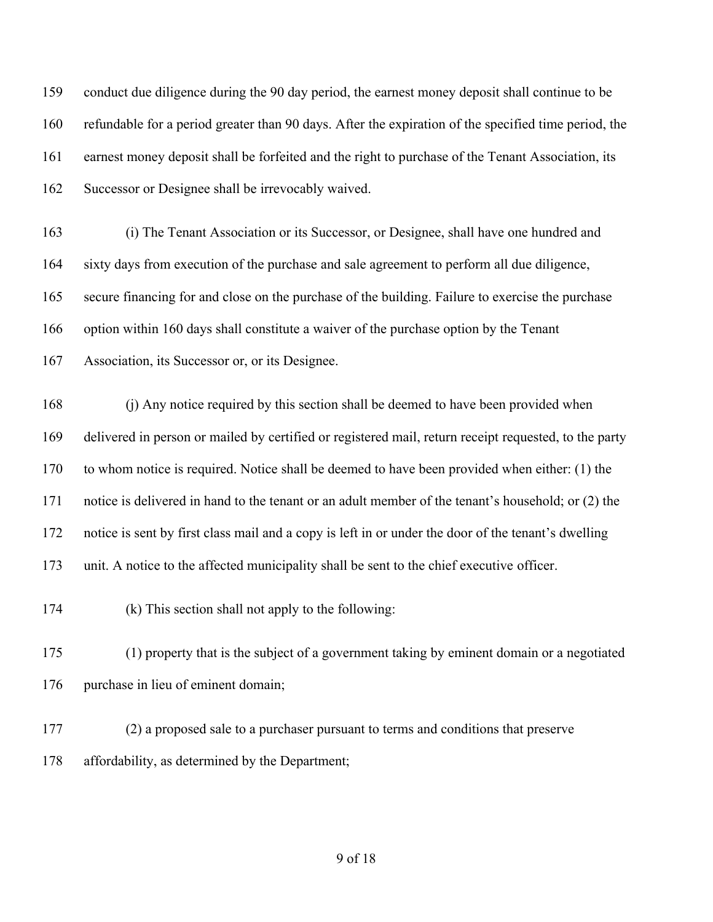conduct due diligence during the 90 day period, the earnest money deposit shall continue to be refundable for a period greater than 90 days. After the expiration of the specified time period, the earnest money deposit shall be forfeited and the right to purchase of the Tenant Association, its Successor or Designee shall be irrevocably waived.

 (i) The Tenant Association or its Successor, or Designee, shall have one hundred and sixty days from execution of the purchase and sale agreement to perform all due diligence, secure financing for and close on the purchase of the building. Failure to exercise the purchase option within 160 days shall constitute a waiver of the purchase option by the Tenant Association, its Successor or, or its Designee.

 (j) Any notice required by this section shall be deemed to have been provided when delivered in person or mailed by certified or registered mail, return receipt requested, to the party to whom notice is required. Notice shall be deemed to have been provided when either: (1) the notice is delivered in hand to the tenant or an adult member of the tenant's household; or (2) the notice is sent by first class mail and a copy is left in or under the door of the tenant's dwelling unit. A notice to the affected municipality shall be sent to the chief executive officer.

(k) This section shall not apply to the following:

 (1) property that is the subject of a government taking by eminent domain or a negotiated 176 purchase in lieu of eminent domain;

 (2) a proposed sale to a purchaser pursuant to terms and conditions that preserve affordability, as determined by the Department;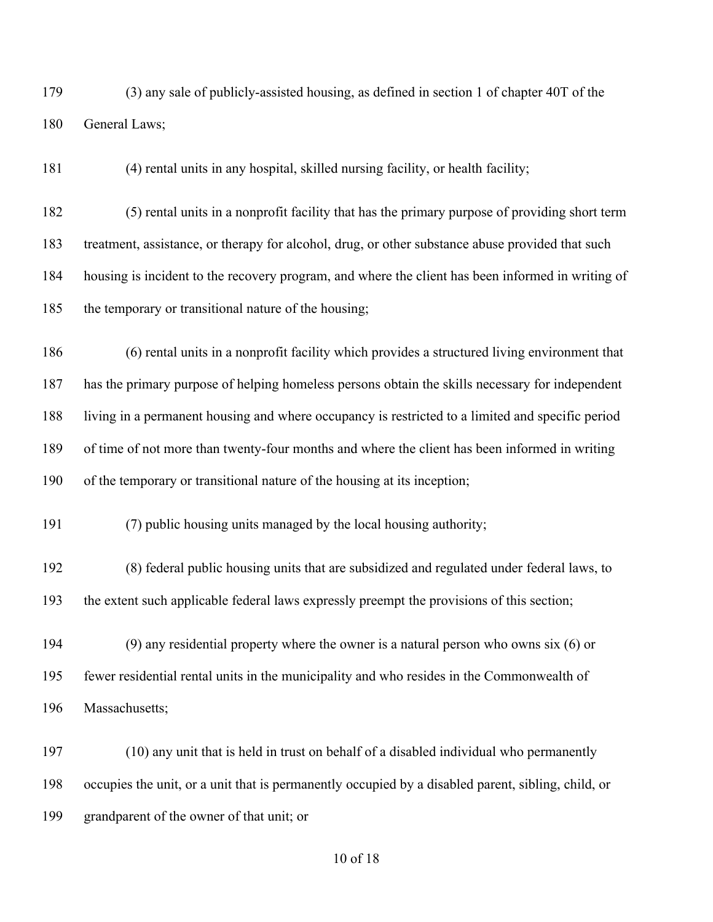(3) any sale of publicly-assisted housing, as defined in section 1 of chapter 40T of the General Laws;

(4) rental units in any hospital, skilled nursing facility, or health facility;

 (5) rental units in a nonprofit facility that has the primary purpose of providing short term treatment, assistance, or therapy for alcohol, drug, or other substance abuse provided that such housing is incident to the recovery program, and where the client has been informed in writing of the temporary or transitional nature of the housing;

 (6) rental units in a nonprofit facility which provides a structured living environment that has the primary purpose of helping homeless persons obtain the skills necessary for independent living in a permanent housing and where occupancy is restricted to a limited and specific period of time of not more than twenty-four months and where the client has been informed in writing of the temporary or transitional nature of the housing at its inception;

(7) public housing units managed by the local housing authority;

 (8) federal public housing units that are subsidized and regulated under federal laws, to the extent such applicable federal laws expressly preempt the provisions of this section;

 (9) any residential property where the owner is a natural person who owns six (6) or fewer residential rental units in the municipality and who resides in the Commonwealth of Massachusetts;

 (10) any unit that is held in trust on behalf of a disabled individual who permanently occupies the unit, or a unit that is permanently occupied by a disabled parent, sibling, child, or grandparent of the owner of that unit; or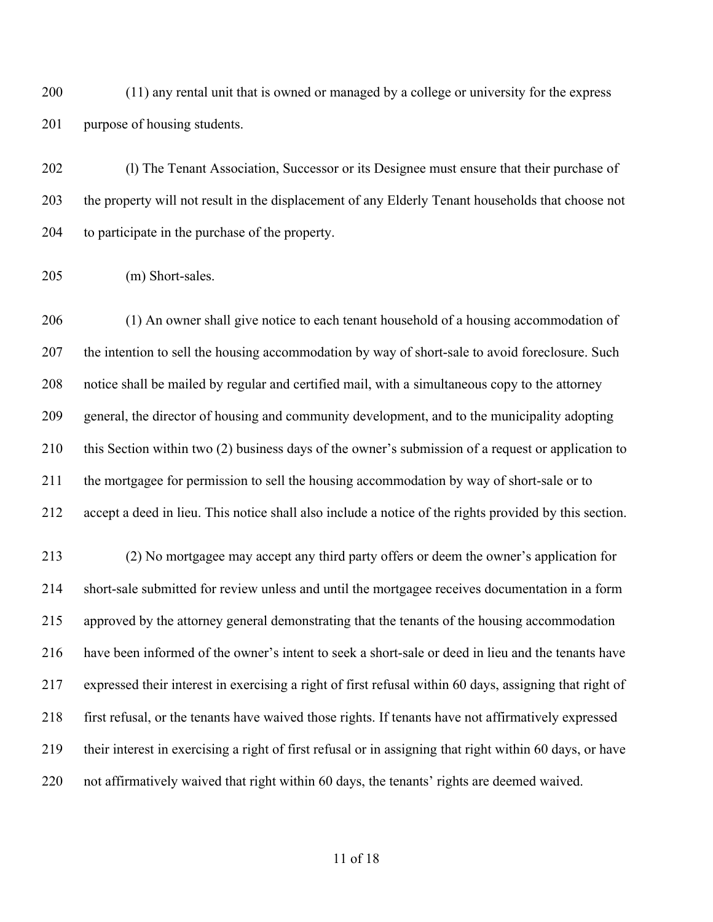(11) any rental unit that is owned or managed by a college or university for the express purpose of housing students.

 (l) The Tenant Association, Successor or its Designee must ensure that their purchase of the property will not result in the displacement of any Elderly Tenant households that choose not to participate in the purchase of the property.

(m) Short-sales.

 (1) An owner shall give notice to each tenant household of a housing accommodation of 207 the intention to sell the housing accommodation by way of short-sale to avoid foreclosure. Such notice shall be mailed by regular and certified mail, with a simultaneous copy to the attorney general, the director of housing and community development, and to the municipality adopting this Section within two (2) business days of the owner's submission of a request or application to the mortgagee for permission to sell the housing accommodation by way of short-sale or to accept a deed in lieu. This notice shall also include a notice of the rights provided by this section.

 (2) No mortgagee may accept any third party offers or deem the owner's application for short-sale submitted for review unless and until the mortgagee receives documentation in a form approved by the attorney general demonstrating that the tenants of the housing accommodation have been informed of the owner's intent to seek a short-sale or deed in lieu and the tenants have expressed their interest in exercising a right of first refusal within 60 days, assigning that right of first refusal, or the tenants have waived those rights. If tenants have not affirmatively expressed their interest in exercising a right of first refusal or in assigning that right within 60 days, or have not affirmatively waived that right within 60 days, the tenants' rights are deemed waived.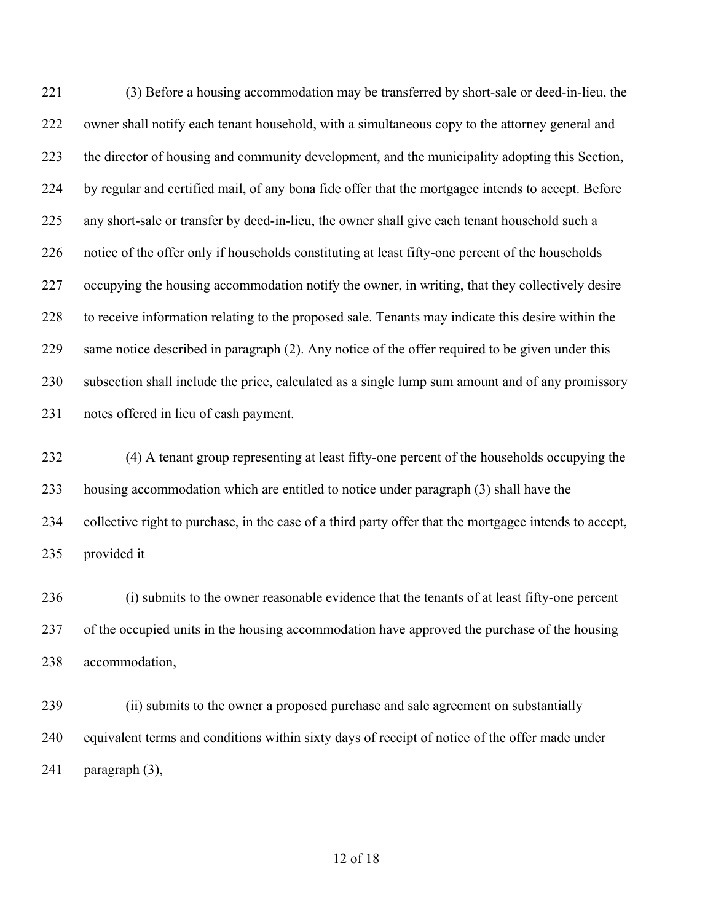(3) Before a housing accommodation may be transferred by short-sale or deed-in-lieu, the owner shall notify each tenant household, with a simultaneous copy to the attorney general and the director of housing and community development, and the municipality adopting this Section, by regular and certified mail, of any bona fide offer that the mortgagee intends to accept. Before any short-sale or transfer by deed-in-lieu, the owner shall give each tenant household such a notice of the offer only if households constituting at least fifty-one percent of the households occupying the housing accommodation notify the owner, in writing, that they collectively desire to receive information relating to the proposed sale. Tenants may indicate this desire within the same notice described in paragraph (2). Any notice of the offer required to be given under this subsection shall include the price, calculated as a single lump sum amount and of any promissory notes offered in lieu of cash payment.

 (4) A tenant group representing at least fifty-one percent of the households occupying the housing accommodation which are entitled to notice under paragraph (3) shall have the collective right to purchase, in the case of a third party offer that the mortgagee intends to accept, provided it

 (i) submits to the owner reasonable evidence that the tenants of at least fifty-one percent of the occupied units in the housing accommodation have approved the purchase of the housing accommodation,

 (ii) submits to the owner a proposed purchase and sale agreement on substantially equivalent terms and conditions within sixty days of receipt of notice of the offer made under paragraph (3),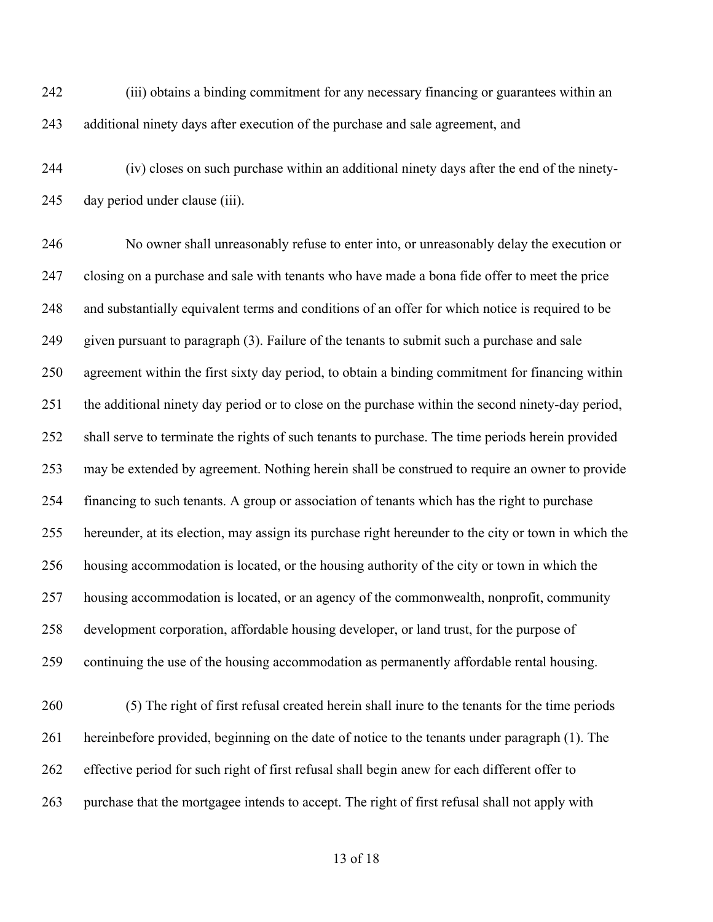(iii) obtains a binding commitment for any necessary financing or guarantees within an additional ninety days after execution of the purchase and sale agreement, and

 (iv) closes on such purchase within an additional ninety days after the end of the ninety-day period under clause (iii).

 No owner shall unreasonably refuse to enter into, or unreasonably delay the execution or closing on a purchase and sale with tenants who have made a bona fide offer to meet the price and substantially equivalent terms and conditions of an offer for which notice is required to be given pursuant to paragraph (3). Failure of the tenants to submit such a purchase and sale agreement within the first sixty day period, to obtain a binding commitment for financing within the additional ninety day period or to close on the purchase within the second ninety-day period, shall serve to terminate the rights of such tenants to purchase. The time periods herein provided may be extended by agreement. Nothing herein shall be construed to require an owner to provide financing to such tenants. A group or association of tenants which has the right to purchase hereunder, at its election, may assign its purchase right hereunder to the city or town in which the housing accommodation is located, or the housing authority of the city or town in which the housing accommodation is located, or an agency of the commonwealth, nonprofit, community development corporation, affordable housing developer, or land trust, for the purpose of continuing the use of the housing accommodation as permanently affordable rental housing.

 (5) The right of first refusal created herein shall inure to the tenants for the time periods hereinbefore provided, beginning on the date of notice to the tenants under paragraph (1). The effective period for such right of first refusal shall begin anew for each different offer to purchase that the mortgagee intends to accept. The right of first refusal shall not apply with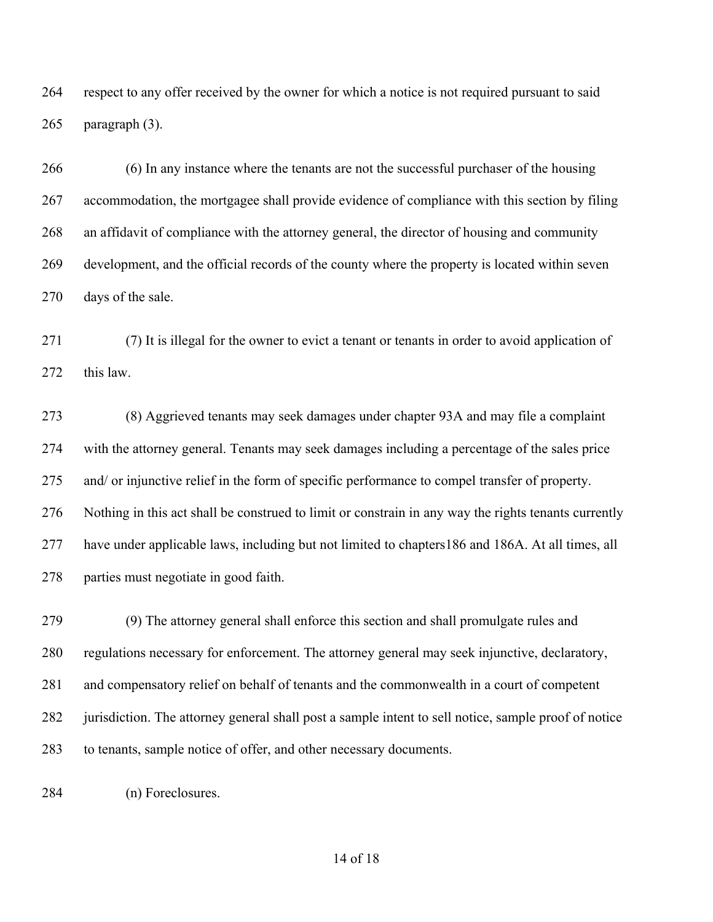respect to any offer received by the owner for which a notice is not required pursuant to said paragraph (3).

 (6) In any instance where the tenants are not the successful purchaser of the housing accommodation, the mortgagee shall provide evidence of compliance with this section by filing an affidavit of compliance with the attorney general, the director of housing and community development, and the official records of the county where the property is located within seven days of the sale.

 (7) It is illegal for the owner to evict a tenant or tenants in order to avoid application of this law.

 (8) Aggrieved tenants may seek damages under chapter 93A and may file a complaint with the attorney general. Tenants may seek damages including a percentage of the sales price and/ or injunctive relief in the form of specific performance to compel transfer of property. Nothing in this act shall be construed to limit or constrain in any way the rights tenants currently have under applicable laws, including but not limited to chapters186 and 186A. At all times, all parties must negotiate in good faith.

 (9) The attorney general shall enforce this section and shall promulgate rules and regulations necessary for enforcement. The attorney general may seek injunctive, declaratory, and compensatory relief on behalf of tenants and the commonwealth in a court of competent jurisdiction. The attorney general shall post a sample intent to sell notice, sample proof of notice to tenants, sample notice of offer, and other necessary documents.

(n) Foreclosures.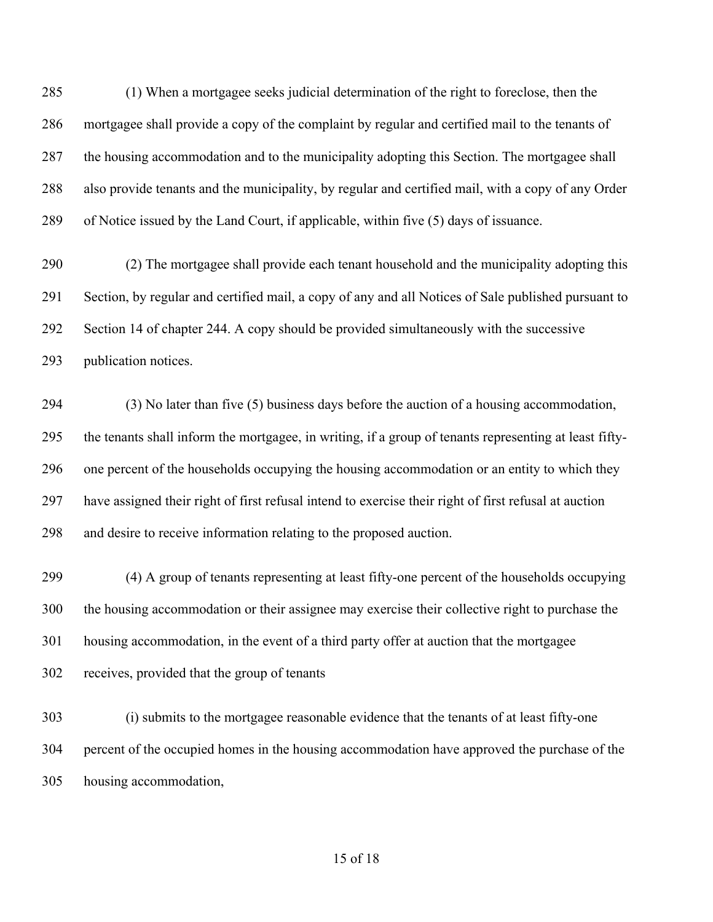(1) When a mortgagee seeks judicial determination of the right to foreclose, then the mortgagee shall provide a copy of the complaint by regular and certified mail to the tenants of the housing accommodation and to the municipality adopting this Section. The mortgagee shall also provide tenants and the municipality, by regular and certified mail, with a copy of any Order of Notice issued by the Land Court, if applicable, within five (5) days of issuance.

 (2) The mortgagee shall provide each tenant household and the municipality adopting this Section, by regular and certified mail, a copy of any and all Notices of Sale published pursuant to Section 14 of chapter 244. A copy should be provided simultaneously with the successive publication notices.

 (3) No later than five (5) business days before the auction of a housing accommodation, the tenants shall inform the mortgagee, in writing, if a group of tenants representing at least fifty- one percent of the households occupying the housing accommodation or an entity to which they have assigned their right of first refusal intend to exercise their right of first refusal at auction and desire to receive information relating to the proposed auction.

 (4) A group of tenants representing at least fifty-one percent of the households occupying the housing accommodation or their assignee may exercise their collective right to purchase the housing accommodation, in the event of a third party offer at auction that the mortgagee receives, provided that the group of tenants

 (i) submits to the mortgagee reasonable evidence that the tenants of at least fifty-one percent of the occupied homes in the housing accommodation have approved the purchase of the housing accommodation,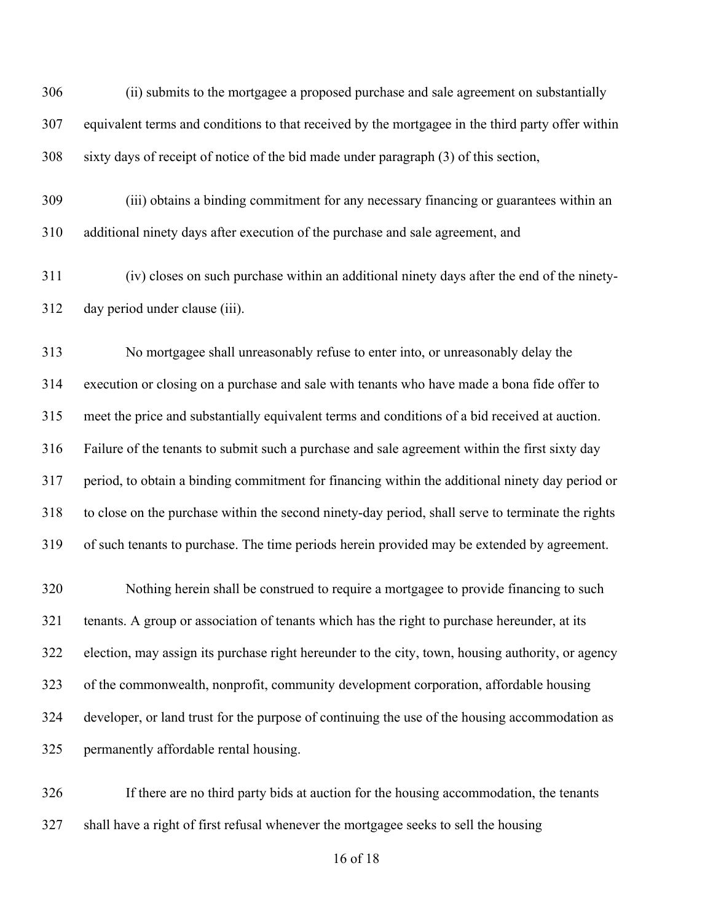(ii) submits to the mortgagee a proposed purchase and sale agreement on substantially equivalent terms and conditions to that received by the mortgagee in the third party offer within sixty days of receipt of notice of the bid made under paragraph (3) of this section,

 (iii) obtains a binding commitment for any necessary financing or guarantees within an additional ninety days after execution of the purchase and sale agreement, and

 (iv) closes on such purchase within an additional ninety days after the end of the ninety-day period under clause (iii).

 No mortgagee shall unreasonably refuse to enter into, or unreasonably delay the execution or closing on a purchase and sale with tenants who have made a bona fide offer to meet the price and substantially equivalent terms and conditions of a bid received at auction. Failure of the tenants to submit such a purchase and sale agreement within the first sixty day period, to obtain a binding commitment for financing within the additional ninety day period or to close on the purchase within the second ninety-day period, shall serve to terminate the rights of such tenants to purchase. The time periods herein provided may be extended by agreement.

 Nothing herein shall be construed to require a mortgagee to provide financing to such tenants. A group or association of tenants which has the right to purchase hereunder, at its election, may assign its purchase right hereunder to the city, town, housing authority, or agency of the commonwealth, nonprofit, community development corporation, affordable housing developer, or land trust for the purpose of continuing the use of the housing accommodation as permanently affordable rental housing.

 If there are no third party bids at auction for the housing accommodation, the tenants shall have a right of first refusal whenever the mortgagee seeks to sell the housing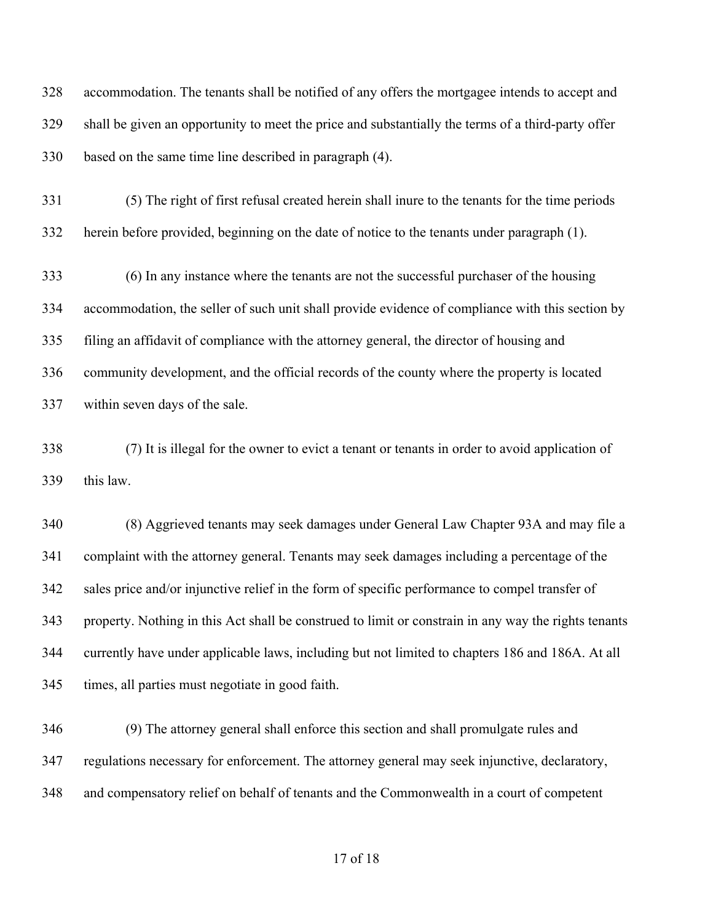accommodation. The tenants shall be notified of any offers the mortgagee intends to accept and shall be given an opportunity to meet the price and substantially the terms of a third-party offer based on the same time line described in paragraph (4).

 (5) The right of first refusal created herein shall inure to the tenants for the time periods herein before provided, beginning on the date of notice to the tenants under paragraph (1).

 (6) In any instance where the tenants are not the successful purchaser of the housing accommodation, the seller of such unit shall provide evidence of compliance with this section by filing an affidavit of compliance with the attorney general, the director of housing and community development, and the official records of the county where the property is located within seven days of the sale.

 (7) It is illegal for the owner to evict a tenant or tenants in order to avoid application of this law.

 (8) Aggrieved tenants may seek damages under General Law Chapter 93A and may file a complaint with the attorney general. Tenants may seek damages including a percentage of the sales price and/or injunctive relief in the form of specific performance to compel transfer of property. Nothing in this Act shall be construed to limit or constrain in any way the rights tenants currently have under applicable laws, including but not limited to chapters 186 and 186A. At all times, all parties must negotiate in good faith.

 (9) The attorney general shall enforce this section and shall promulgate rules and regulations necessary for enforcement. The attorney general may seek injunctive, declaratory, and compensatory relief on behalf of tenants and the Commonwealth in a court of competent